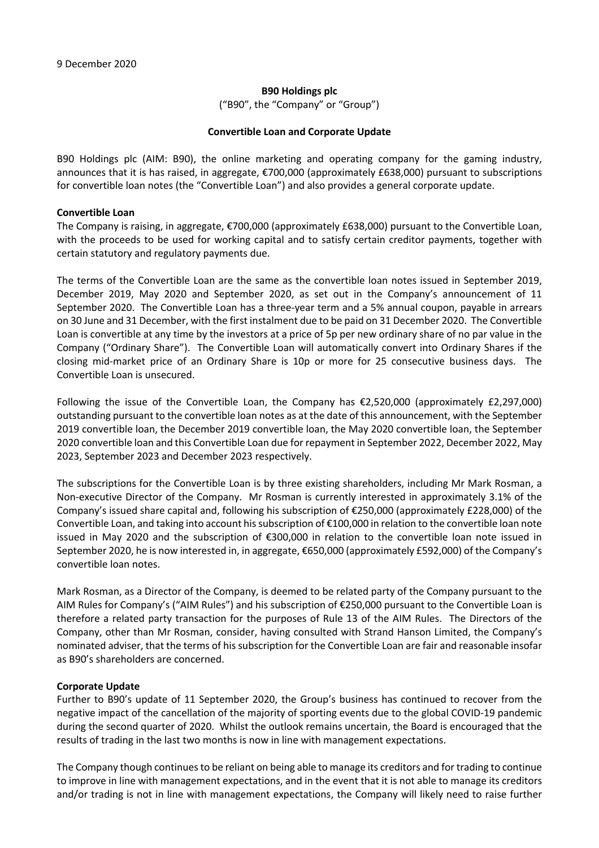#### **B90 Holdings plc**

("B90", the "Company" or "Group")

#### **Convertible Loan and Corporate Update**

B90 Holdings plc (AIM: B90), the online marketing and operating company for the gaming industry, announces that it is has raised, in aggregate, €700,000 (approximately £638,000) pursuant to subscriptions for convertible loan notes (the "Convertible Loan") and also provides a general corporate update.

#### **Convertible Loan**

The Company is raising, in aggregate, €700,000 (approximately £638,000) pursuant to the Convertible Loan, with the proceeds to be used for working capital and to satisfy certain creditor payments, together with certain statutory and regulatory payments due.

The terms of the Convertible Loan are the same as the convertible loan notes issued in September 2019, December 2019, May 2020 and September 2020, as set out in the Company's announcement of 11 September 2020. The Convertible Loan has a three-year term and a 5% annual coupon, payable in arrears on 30 June and 31 December, with the first instalment due to be paid on 31 December 2020. The Convertible Loan is convertible at any time by the investors at a price of 5p per new ordinary share of no par value in the Company ("Ordinary Share"). The Convertible Loan will automatically convert into Ordinary Shares if the closing mid-market price of an Ordinary Share is 10p or more for 25 consecutive business days. The Convertible Loan is unsecured.

Following the issue of the Convertible Loan, the Company has €2,520,000 (approximately £2,297,000) outstanding pursuant to the convertible loan notes as at the date of this announcement, with the September 2019 convertible loan, the December 2019 convertible loan, the May 2020 convertible loan, the September 2020 convertible loan and this Convertible Loan due for repayment in September 2022, December 2022, May 2023, September 2023 and December 2023 respectively.

The subscriptions for the Convertible Loan is by three existing shareholders, including Mr Mark Rosman, a Non-executive Director of the Company. Mr Rosman is currently interested in approximately 3.1% of the Company's issued share capital and, following his subscription of €250,000 (approximately £228,000) of the Convertible Loan, and taking into account his subscription of €100,000 in relation to the convertible loan note issued in May 2020 and the subscription of €300,000 in relation to the convertible loan note issued in September 2020, he is now interested in, in aggregate, €650,000 (approximately £592,000) of the Company's convertible loan notes.

Mark Rosman, as a Director of the Company, is deemed to be related party of the Company pursuant to the AIM Rules for Company's ("AIM Rules") and his subscription of €250,000 pursuant to the Convertible Loan is therefore a related party transaction for the purposes of Rule 13 of the AIM Rules. The Directors of the Company, other than Mr Rosman, consider, having consulted with Strand Hanson Limited, the Company's nominated adviser, that the terms of his subscription for the Convertible Loan are fair and reasonable insofar as B90's shareholders are concerned.

# **Corporate Update**

Further to B90's update of 11 September 2020, the Group's business has continued to recover from the negative impact of the cancellation of the majority of sporting events due to the global COVID-19 pandemic during the second quarter of 2020. Whilst the outlook remains uncertain, the Board is encouraged that the results of trading in the last two months is now in line with management expectations.

The Company though continues to be reliant on being able to manage its creditors and for trading to continue to improve in line with management expectations, and in the event that it is not able to manage its creditors and/or trading is not in line with management expectations, the Company will likely need to raise further